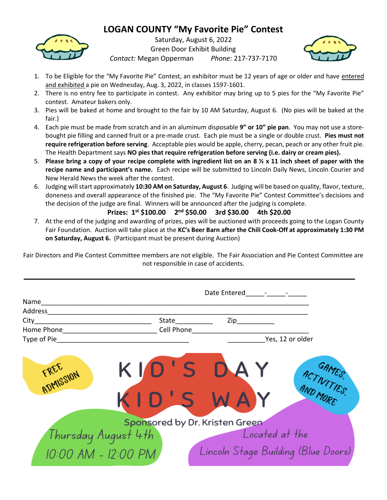## **LOGAN COUNTY "My Favorite Pie" Contest**



Saturday, August 6, 2022 Green Door Exhibit Building *Contact:* Megan Opperman *Phone:* 217-737-7170



- 1. To be Eligible for the "My Favorite Pie" Contest, an exhibitor must be 12 years of age or older and have entered and exhibited a pie on Wednesday, Aug. 3, 2022, in classes 1597-1601.
- 2. There is no entry fee to participate in contest. Any exhibitor may bring up to 5 pies for the "My Favorite Pie" contest. Amateur bakers only.
- 3. Pies will be baked at home and brought to the fair by 10 AM Saturday, August 6. (No pies will be baked at the fair.)
- 4. Each pie must be made from scratch and in an aluminum disposable **9" or 10" pie pan**. You may not use a storebought pie filling and canned fruit or a pre-made crust. Each pie must be a single or double crust. **Pies must not require refrigeration before serving**. Acceptable pies would be apple, cherry, pecan, peach or any other fruit pie. The Health Department says **NO pies that require refrigeration before serving (i.e. dairy or cream pies).**
- 5. **Please bring a copy of your recipe complete with ingredient list on an 8 ½ x 11 inch sheet of paper with the recipe name and participant's name.** Each recipe will be submitted to Lincoln Daily News, Lincoln Courier and New Herald News the week after the contest.
- 6. Judging will start approximately **10:30 AM on Saturday, August 6**. Judging will be based on quality, flavor, texture, doneness and overall appearance of the finished pie. The "My Favorite Pie" Contest Committee's decisions and the decision of the judge are final. Winners will be announced after the judging is complete.

## **Prizes: 1st \$100.00 2 nd \$50.00 3rd \$30.00 4th \$20.00**

7. At the end of the judging and awarding of prizes, pies will be auctioned with proceeds going to the Logan County Fair Foundation. Auction will take place at the **KC's Beer Barn after the Chili Cook-Off at approximately 1:30 PM on Saturday, August 6.** (Participant must be present during Auction)

Fair Directors and Pie Contest Committee members are not eligible. The Fair Association and Pie Contest Committee are not responsible in case of accidents.

|                                       | Date Entered - - - -                  |                                               |                                     |
|---------------------------------------|---------------------------------------|-----------------------------------------------|-------------------------------------|
| Name                                  |                                       |                                               |                                     |
| Address                               |                                       |                                               |                                     |
| City                                  |                                       | State______________  Zip_____________         |                                     |
| Home Phone <u>___________________</u> | Cell Phone <b>Communist Communist</b> |                                               |                                     |
| Type of Pie                           |                                       |                                               | Yes, 12 or older                    |
| KID<br>FREE SION                      | KID'S                                 | 'S DAY<br>W<br>Sponsored by Dr. Kristen Green | ACTIVITIES,                         |
|                                       |                                       |                                               | Located at the                      |
| Thursday August 4th                   |                                       |                                               |                                     |
| 10:00 AM - 12:00 PM                   |                                       |                                               | Lincoln Stage Building (Blue Doors) |